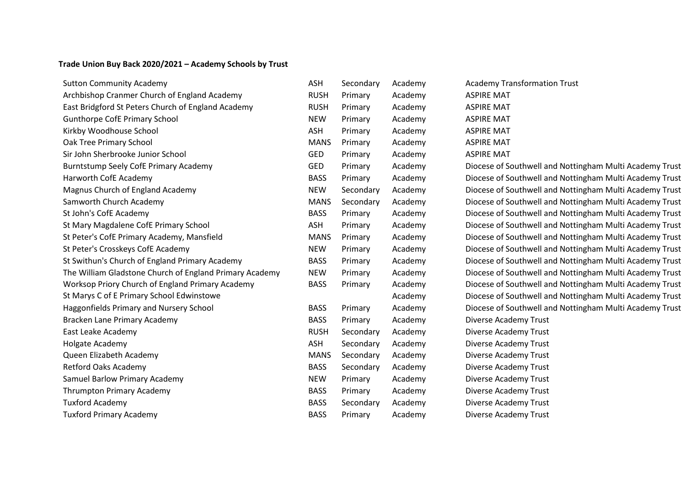## **Trade Union Buy Back 2020/2021 – Academy Schools by Trust**

| <b>Sutton Community Academy</b>                         | <b>ASH</b>  | Secondary | Academy | <b>Academy Transformation Trust</b>                     |
|---------------------------------------------------------|-------------|-----------|---------|---------------------------------------------------------|
| Archbishop Cranmer Church of England Academy            | <b>RUSH</b> | Primary   | Academy | <b>ASPIRE MAT</b>                                       |
| East Bridgford St Peters Church of England Academy      | <b>RUSH</b> | Primary   | Academy | <b>ASPIRE MAT</b>                                       |
| <b>Gunthorpe CofE Primary School</b>                    | <b>NEW</b>  | Primary   | Academy | <b>ASPIRE MAT</b>                                       |
| Kirkby Woodhouse School                                 | ASH         | Primary   | Academy | <b>ASPIRE MAT</b>                                       |
| Oak Tree Primary School                                 | <b>MANS</b> | Primary   | Academy | <b>ASPIRE MAT</b>                                       |
| Sir John Sherbrooke Junior School                       | <b>GED</b>  | Primary   | Academy | <b>ASPIRE MAT</b>                                       |
| Burntstump Seely CofE Primary Academy                   | <b>GED</b>  | Primary   | Academy | Diocese of Southwell and Nottingham Multi Academy Trust |
| Harworth CofE Academy                                   | <b>BASS</b> | Primary   | Academy | Diocese of Southwell and Nottingham Multi Academy Trust |
| Magnus Church of England Academy                        | <b>NEW</b>  | Secondary | Academy | Diocese of Southwell and Nottingham Multi Academy Trust |
| Samworth Church Academy                                 | <b>MANS</b> | Secondary | Academy | Diocese of Southwell and Nottingham Multi Academy Trust |
| St John's CofE Academy                                  | <b>BASS</b> | Primary   | Academy | Diocese of Southwell and Nottingham Multi Academy Trust |
| St Mary Magdalene CofE Primary School                   | <b>ASH</b>  | Primary   | Academy | Diocese of Southwell and Nottingham Multi Academy Trust |
| St Peter's CofE Primary Academy, Mansfield              | <b>MANS</b> | Primary   | Academy | Diocese of Southwell and Nottingham Multi Academy Trust |
| St Peter's Crosskeys CofE Academy                       | <b>NEW</b>  | Primary   | Academy | Diocese of Southwell and Nottingham Multi Academy Trust |
| St Swithun's Church of England Primary Academy          | <b>BASS</b> | Primary   | Academy | Diocese of Southwell and Nottingham Multi Academy Trust |
| The William Gladstone Church of England Primary Academy | <b>NEW</b>  | Primary   | Academy | Diocese of Southwell and Nottingham Multi Academy Trust |
| Worksop Priory Church of England Primary Academy        | <b>BASS</b> | Primary   | Academy | Diocese of Southwell and Nottingham Multi Academy Trust |
| St Marys C of E Primary School Edwinstowe               |             |           | Academy | Diocese of Southwell and Nottingham Multi Academy Trust |
| Haggonfields Primary and Nursery School                 | <b>BASS</b> | Primary   | Academy | Diocese of Southwell and Nottingham Multi Academy Trust |
| Bracken Lane Primary Academy                            | <b>BASS</b> | Primary   | Academy | Diverse Academy Trust                                   |
| East Leake Academy                                      | <b>RUSH</b> | Secondary | Academy | Diverse Academy Trust                                   |
| Holgate Academy                                         | ASH         | Secondary | Academy | Diverse Academy Trust                                   |
| Queen Elizabeth Academy                                 | <b>MANS</b> | Secondary | Academy | Diverse Academy Trust                                   |
| <b>Retford Oaks Academy</b>                             | <b>BASS</b> | Secondary | Academy | Diverse Academy Trust                                   |
| Samuel Barlow Primary Academy                           | <b>NEW</b>  | Primary   | Academy | Diverse Academy Trust                                   |
| Thrumpton Primary Academy                               | <b>BASS</b> | Primary   | Academy | Diverse Academy Trust                                   |
| <b>Tuxford Academy</b>                                  | <b>BASS</b> | Secondary | Academy | Diverse Academy Trust                                   |
| <b>Tuxford Primary Academy</b>                          | <b>BASS</b> | Primary   | Academy | Diverse Academy Trust                                   |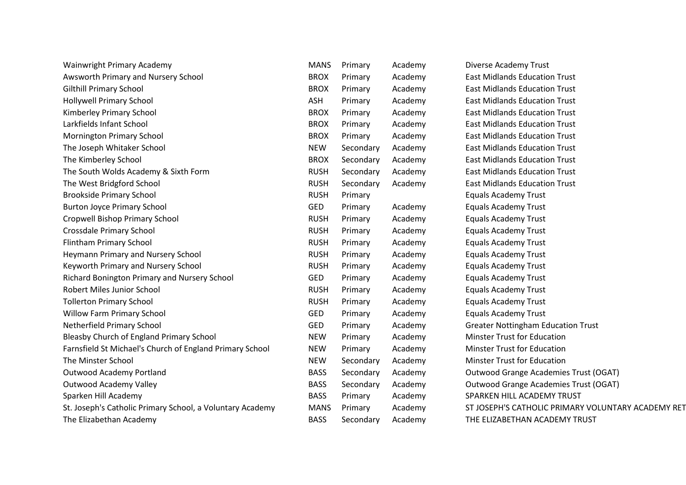| Wainwright Primary Academy                                | <b>MANS</b> | Primary   | Academy | Diverse Academy Trust                              |
|-----------------------------------------------------------|-------------|-----------|---------|----------------------------------------------------|
| Awsworth Primary and Nursery School                       | <b>BROX</b> | Primary   | Academy | <b>East Midlands Education Trust</b>               |
| <b>Gilthill Primary School</b>                            | <b>BROX</b> | Primary   | Academy | <b>East Midlands Education Trust</b>               |
| <b>Hollywell Primary School</b>                           | ASH         | Primary   | Academy | <b>East Midlands Education Trust</b>               |
| Kimberley Primary School                                  | <b>BROX</b> | Primary   | Academy | <b>East Midlands Education Trust</b>               |
| Larkfields Infant School                                  | <b>BROX</b> | Primary   | Academy | <b>East Midlands Education Trust</b>               |
| <b>Mornington Primary School</b>                          | <b>BROX</b> | Primary   | Academy | <b>East Midlands Education Trust</b>               |
| The Joseph Whitaker School                                | <b>NEW</b>  | Secondary | Academy | <b>East Midlands Education Trust</b>               |
| The Kimberley School                                      | <b>BROX</b> | Secondary | Academy | <b>East Midlands Education Trust</b>               |
| The South Wolds Academy & Sixth Form                      | <b>RUSH</b> | Secondary | Academy | <b>East Midlands Education Trust</b>               |
| The West Bridgford School                                 | <b>RUSH</b> | Secondary | Academy | <b>East Midlands Education Trust</b>               |
| <b>Brookside Primary School</b>                           | <b>RUSH</b> | Primary   |         | <b>Equals Academy Trust</b>                        |
| <b>Burton Joyce Primary School</b>                        | <b>GED</b>  | Primary   | Academy | <b>Equals Academy Trust</b>                        |
| Cropwell Bishop Primary School                            | <b>RUSH</b> | Primary   | Academy | <b>Equals Academy Trust</b>                        |
| Crossdale Primary School                                  | <b>RUSH</b> | Primary   | Academy | <b>Equals Academy Trust</b>                        |
| <b>Flintham Primary School</b>                            | <b>RUSH</b> | Primary   | Academy | <b>Equals Academy Trust</b>                        |
| Heymann Primary and Nursery School                        | <b>RUSH</b> | Primary   | Academy | <b>Equals Academy Trust</b>                        |
| Keyworth Primary and Nursery School                       | <b>RUSH</b> | Primary   | Academy | <b>Equals Academy Trust</b>                        |
| Richard Bonington Primary and Nursery School              | <b>GED</b>  | Primary   | Academy | <b>Equals Academy Trust</b>                        |
| Robert Miles Junior School                                | <b>RUSH</b> | Primary   | Academy | <b>Equals Academy Trust</b>                        |
| <b>Tollerton Primary School</b>                           | <b>RUSH</b> | Primary   | Academy | <b>Equals Academy Trust</b>                        |
| <b>Willow Farm Primary School</b>                         | <b>GED</b>  | Primary   | Academy | <b>Equals Academy Trust</b>                        |
| Netherfield Primary School                                | <b>GED</b>  | Primary   | Academy | <b>Greater Nottingham Education Trust</b>          |
| Bleasby Church of England Primary School                  | <b>NEW</b>  | Primary   | Academy | <b>Minster Trust for Education</b>                 |
| Farnsfield St Michael's Church of England Primary School  | <b>NEW</b>  | Primary   | Academy | <b>Minster Trust for Education</b>                 |
| The Minster School                                        | <b>NEW</b>  | Secondary | Academy | <b>Minster Trust for Education</b>                 |
| <b>Outwood Academy Portland</b>                           | <b>BASS</b> | Secondary | Academy | Outwood Grange Academies Trust (OGAT)              |
| <b>Outwood Academy Valley</b>                             | <b>BASS</b> | Secondary | Academy | Outwood Grange Academies Trust (OGAT)              |
| Sparken Hill Academy                                      | <b>BASS</b> | Primary   | Academy | SPARKEN HILL ACADEMY TRUST                         |
| St. Joseph's Catholic Primary School, a Voluntary Academy | <b>MANS</b> | Primary   | Academy | ST JOSEPH'S CATHOLIC PRIMARY VOLUNTARY ACADEMY RET |
| The Elizabethan Academy                                   | <b>BASS</b> | Secondary | Academy | THE ELIZABETHAN ACADEMY TRUST                      |